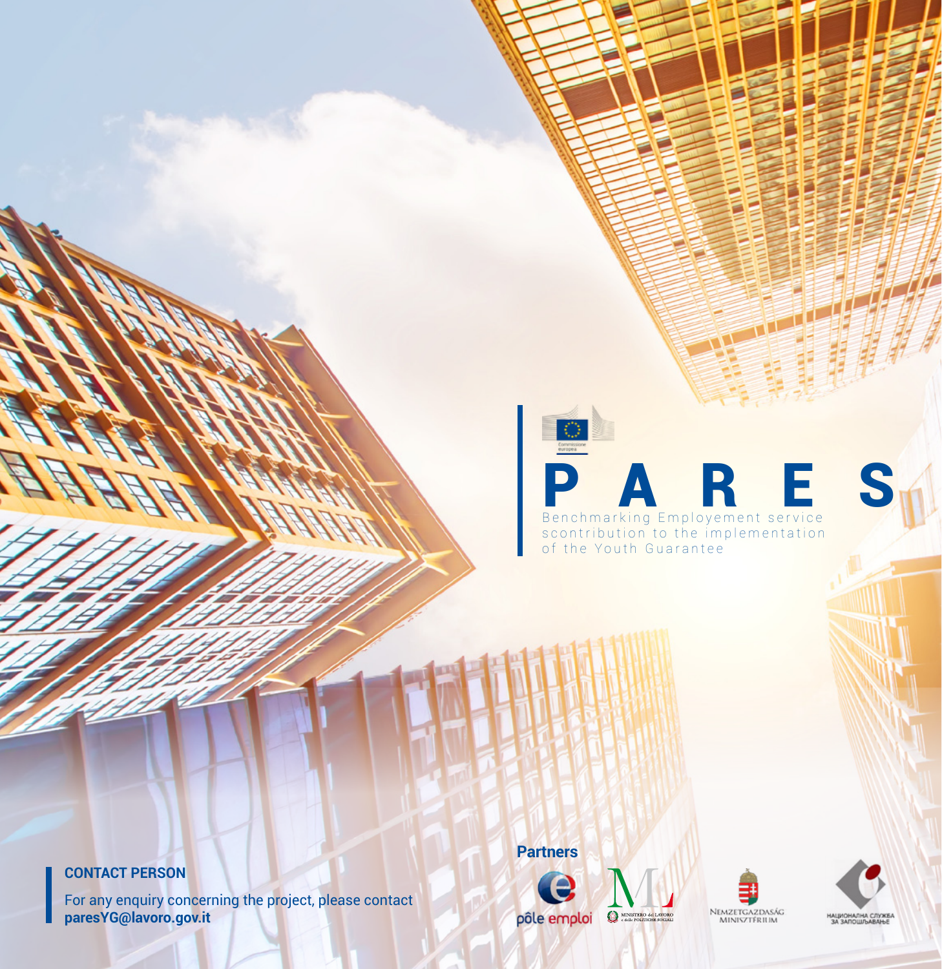# O **PARES EMPLOYED EN RESPONSITION CONTROLLER** scontribution to the implementation of the Youth Guarantee

#### **CONTACT PERSON**

П

For any enquiry concerning the project, please contact **paresYG@lavoro.gov.it**

**Partners**



NEMZETGAZDASÁG